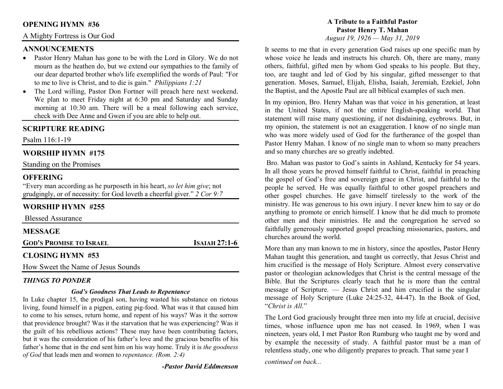## **OPENING HYMN #36**

## A Mighty Fortress is Our God

## **ANNOUNCEMENTS**

- Pastor Henry Mahan has gone to be with the Lord in Glory. We do not •mourn as the heathen do, but we extend our sympathies to the family of our dear departed brother who's life exemplified the words of Paul: "For to me to live is Christ, and to die is gain." *Philippians 1:21*
- The Lord willing, Pastor Don Fortner will preach here next weekend. •We plan to meet Friday night at 6:30 pm and Saturday and Sunday morning at 10:30 am. There will be a meal following each service, check with Dee Anne and Gwen if you are able to help out.

## **SCRIPTURE READING**

Psalm 116:1-19

## **WORSHIP HYMN #175**

Standing on the Promises

#### **OFFERING**

 "Every man according as he purposeth in his heart, *so let him give*; not grudgingly, or of necessity: for God loveth a cheerful giver." *2 Cor 9:7*

# **WORSHIP HYMN #255**

Blessed Assurance

| <b>MESSAGE</b>                 |                      |
|--------------------------------|----------------------|
| <b>GOD'S PROMISE TO ISRAEL</b> | <b>ISAIAH 27:1-6</b> |
|                                |                      |

#### **CLOSING HYMN #53**

How Sweet the Name of Jesus Sounds

#### *THINGS TO PONDER*

#### *God's Goodness That Leads to Repentance*

 In Luke chapter 15, the prodigal son, having wasted his substance on riotous living, found himself in a pigpen, eating pig-food. What was it that caused him to come to his senses, return home, and repent of his ways? Was it the sorrow that providence brought? Was it the starvation that he was experiencing? Was it the guilt of his rebellious actions? These may have been contributing factors, but it was the consideration of his father's love and the gracious benefits of his father's home that in the end sent him on his way home. Truly it is *the goodness of God* that leads men and women to *repentance. (Rom. 2:4)*

*-Pastor David Eddmenson* 

#### **A Tribute to a Faithful PastorPastor Henry T. Mahan***August 19, 1926 — May 31, 2019*

It seems to me that in every generation God raises up one specific man by whose voice he leads and instructs his church. Oh, there are many, many others, faithful, gifted men by whom God speaks to his people. But they, too, are taught and led of God by his singular, gifted messenger to that generation. Moses, Samuel, Elijah, Elisha, Isaiah, Jeremiah, Ezekiel, John the Baptist, and the Apostle Paul are all biblical examples of such men.

In my opinion, Bro. Henry Mahan was that voice in his generation, at least in the United States, if not the entire English-speaking world. That statement will raise many questioning, if not disdaining, eyebrows. But, in my opinion, the statement is not an exaggeration. I know of no single man who was more widely used of God for the furtherance of the gospel than Pastor Henry Mahan. I know of no single man to whom so many preachers and so many churches are so greatly indebted.

 Bro. Mahan was pastor to God's saints in Ashland, Kentucky for 54 years. In all those years he proved himself faithful to Christ, faithful in preaching the gospel of God's free and sovereign grace in Christ, and faithful to the people he served. He was equally faithful to other gospel preachers and other gospel churches. He gave himself tirelessly to the work of the ministry. He was generous to his own injury. I never knew him to say or do anything to promote or enrich himself. I know that he did much to promote other men and their ministries. He and the congregation he served so faithfully generously supported gospel preaching missionaries, pastors, and churches around the world.

More than any man known to me in history, since the apostles, Pastor Henry Mahan taught this generation, and taught us correctly, that Jesus Christ and him crucified is the message of Holy Scripture. Almost every conservative pastor or theologian acknowledges that Christ is the central message of the Bible. But the Scriptures clearly teach that he is more than the central message of Scripture. — Jesus Christ and him crucified is the singular message of Holy Scripture (Luke 24:25-32, 44-47). In the Book of God, "*Christ is All*."

The Lord God graciously brought three men into my life at crucial, decisive times, whose influence upon me has not ceased. In 1969, when I was nineteen, years old, I met Pastor Ron Rumburg who taught me by word and by example the necessity of study. A faithful pastor must be a man of relentless study, one who diligently prepares to preach. That same year I

*continued on back...*